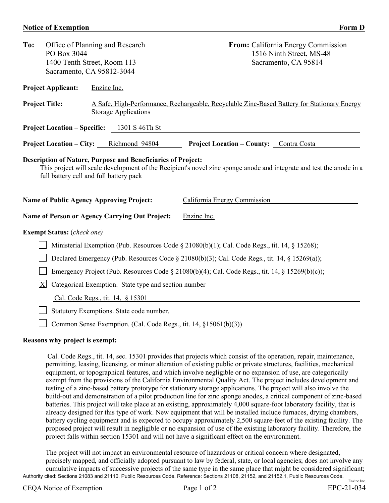## **Notice of Exemption** Form D

| To:                                                                                                                                                                                                                             | Office of Planning and Research<br>PO Box 3044<br>1400 Tenth Street, Room 113<br>Sacramento, CA 95812-3044 |                                                | From: California Energy Commission<br>1516 Ninth Street, MS-48<br>Sacramento, CA 95814      |  |  |  |  |
|---------------------------------------------------------------------------------------------------------------------------------------------------------------------------------------------------------------------------------|------------------------------------------------------------------------------------------------------------|------------------------------------------------|---------------------------------------------------------------------------------------------|--|--|--|--|
|                                                                                                                                                                                                                                 | <b>Project Applicant:</b>                                                                                  | Enzine Inc.                                    |                                                                                             |  |  |  |  |
| <b>Project Title:</b><br><b>Storage Applications</b>                                                                                                                                                                            |                                                                                                            |                                                | A Safe, High-Performance, Rechargeable, Recyclable Zinc-Based Battery for Stationary Energy |  |  |  |  |
| <b>Project Location – Specific:</b><br>1301 S 46Th St                                                                                                                                                                           |                                                                                                            |                                                |                                                                                             |  |  |  |  |
| <b>Project Location – City:</b> Richmond 94804<br><b>Project Location – County:</b> Contra Costa                                                                                                                                |                                                                                                            |                                                |                                                                                             |  |  |  |  |
| Description of Nature, Purpose and Beneficiaries of Project:<br>This project will scale development of the Recipient's novel zinc sponge anode and integrate and test the anode in a<br>full battery cell and full battery pack |                                                                                                            |                                                |                                                                                             |  |  |  |  |
| <b>Name of Public Agency Approving Project:</b>                                                                                                                                                                                 |                                                                                                            |                                                | California Energy Commission                                                                |  |  |  |  |
|                                                                                                                                                                                                                                 |                                                                                                            | Name of Person or Agency Carrying Out Project: | Enzine Inc.                                                                                 |  |  |  |  |
|                                                                                                                                                                                                                                 | <b>Exempt Status:</b> (check one)                                                                          |                                                |                                                                                             |  |  |  |  |
| Ministerial Exemption (Pub. Resources Code § 21080(b)(1); Cal. Code Regs., tit. 14, § 15268);                                                                                                                                   |                                                                                                            |                                                |                                                                                             |  |  |  |  |
| Declared Emergency (Pub. Resources Code § 21080(b)(3); Cal. Code Regs., tit. 14, § 15269(a));                                                                                                                                   |                                                                                                            |                                                |                                                                                             |  |  |  |  |
| Emergency Project (Pub. Resources Code § 21080(b)(4); Cal. Code Regs., tit. 14, § 15269(b)(c));                                                                                                                                 |                                                                                                            |                                                |                                                                                             |  |  |  |  |
| X<br>Categorical Exemption. State type and section number                                                                                                                                                                       |                                                                                                            |                                                |                                                                                             |  |  |  |  |
| Cal. Code Regs., tit. 14, § 15301                                                                                                                                                                                               |                                                                                                            |                                                |                                                                                             |  |  |  |  |
|                                                                                                                                                                                                                                 |                                                                                                            | Statutory Exemptions. State code number.       |                                                                                             |  |  |  |  |

Common Sense Exemption. (Cal. Code Regs., tit. 14, §15061(b)(3))

## **Reasons why project is exempt:**

Cal. Code Regs., tit. 14, sec. 15301 provides that projects which consist of the operation, repair, maintenance, permitting, leasing, licensing, or minor alteration of existing public or private structures, facilities, mechanical equipment, or topographical features, and which involve negligible or no expansion of use, are categorically exempt from the provisions of the California Environmental Quality Act. The project includes development and testing of a zinc-based battery prototype for stationary storage applications. The project will also involve the build-out and demonstration of a pilot production line for zinc sponge anodes, a critical component of zinc-based batteries. This project will take place at an existing, approximately 4,000 square-foot laboratory facility, that is already designed for this type of work. New equipment that will be installed include furnaces, drying chambers, battery cycling equipment and is expected to occupy approximately 2,500 square-feet of the existing facility. The proposed project will result in negligible or no expansion of use of the existing laboratory facility. Therefore, the project falls within section 15301 and will not have a significant effect on the environment.

Authority cited: Sections 21083 and 21110, Public Resources Code. Reference: Sections 21108, 21152, and 21152.1, Public Resources Code. Enzinc Inc. The project will not impact an environmental resource of hazardous or critical concern where designated, precisely mapped, and officially adopted pursuant to law by federal, state, or local agencies; does not involve any cumulative impacts of successive projects of the same type in the same place that might be considered significant;